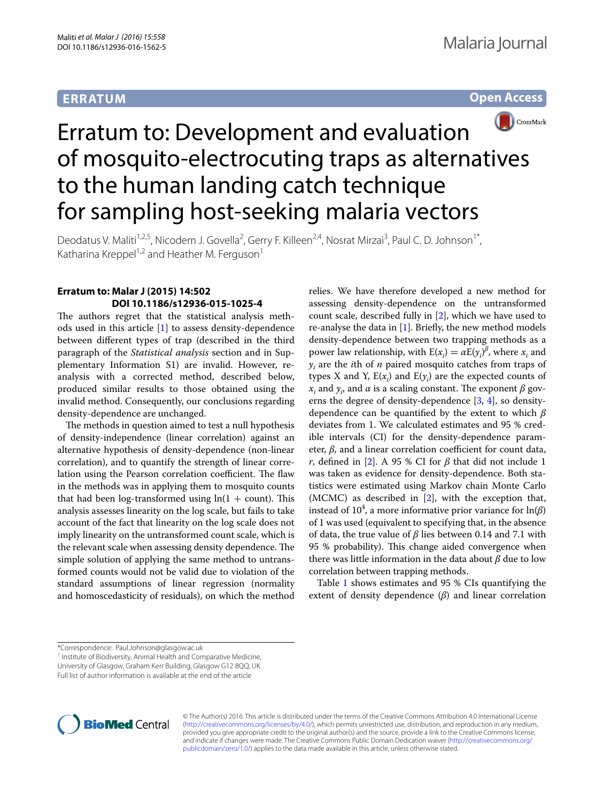## **ERRATUM**





# Erratum to: Development and evaluation of mosquito-electrocuting traps as alternatives to the human landing catch technique for sampling host-seeking malaria vectors

Deodatus V. Maliti<sup>1,2,5</sup>, Nicodem J. Govella<sup>2</sup>, Gerry F. Killeen<sup>2,4</sup>, Nosrat Mirzai<sup>3</sup>, Paul C. D. Johnson<sup>1\*</sup>, Katharina Kreppel<sup>1,2</sup> and Heather M. Ferguson<sup>1</sup>

### **Erratum to: Malar J (2015) 14:502 DOI 10.1186/s12936‑015‑1025‑4**

The authors regret that the statistical analysis methods used in this article  $[1]$  to assess density-dependence between different types of trap (described in the third paragraph of the *Statistical analysis* section and in Supplementary Information S1) are invalid. However, reanalysis with a corrected method, described below, produced similar results to those obtained using the invalid method. Consequently, our conclusions regarding density-dependence are unchanged.

The methods in question aimed to test a null hypothesis of density-independence (linear correlation) against an alternative hypothesis of density-dependence (non-linear correlation), and to quantify the strength of linear correlation using the Pearson correlation coefficient. The flaw in the methods was in applying them to mosquito counts that had been log-transformed using  $ln(1 + count)$ . This analysis assesses linearity on the log scale, but fails to take account of the fact that linearity on the log scale does not imply linearity on the untransformed count scale, which is the relevant scale when assessing density dependence. The simple solution of applying the same method to untransformed counts would not be valid due to violation of the standard assumptions of linear regression (normality and homoscedasticity of residuals), on which the method

relies. We have therefore developed a new method for assessing density-dependence on the untransformed count scale, described fully in [\[2](#page-1-1)], which we have used to re-analyse the data in  $[1]$ . Briefly, the new method models density-dependence between two trapping methods as a power law relationship, with  $E(x_i) = \alpha E(y_i)^{\beta}$ , where  $x_i$  and *yi* are the *i*th of *n* paired mosquito catches from traps of types X and Y,  $E(x_i)$  and  $E(y_i)$  are the expected counts of  $x_i$  and  $y_i$ , and  $\alpha$  is a scaling constant. The exponent  $\beta$  governs the degree of density-dependence [\[3](#page-1-2), [4](#page-1-3)], so densitydependence can be quantified by the extent to which *β* deviates from 1. We calculated estimates and 95 % credible intervals (CI) for the density-dependence parameter, *β*, and a linear correlation coefficient for count data, *r*, defined in [\[2](#page-1-1)]. A 95 % CI for  $\beta$  that did not include 1 was taken as evidence for density-dependence. Both statistics were estimated using Markov chain Monte Carlo (MCMC) as described in [[2\]](#page-1-1), with the exception that, instead of 10<sup>4</sup>, a more informative prior variance for  $\ln(\beta)$ of 1 was used (equivalent to specifying that, in the absence of data, the true value of *β* lies between 0.14 and 7.1 with 95 % probability). This change aided convergence when there was little information in the data about *β* due to low correlation between trapping methods.

Table [1](#page-1-4) shows estimates and 95 % CIs quantifying the extent of density dependence (*β*) and linear correlation

<sup>1</sup> Institute of Biodiversity, Animal Health and Comparative Medicine,

University of Glasgow, Graham Kerr Building, Glasgow G12 8QQ, UK





© The Author(s) 2016. This article is distributed under the terms of the Creative Commons Attribution 4.0 International License [\(http://creativecommons.org/licenses/by/4.0/\)](http://creativecommons.org/licenses/by/4.0/), which permits unrestricted use, distribution, and reproduction in any medium, provided you give appropriate credit to the original author(s) and the source, provide a link to the Creative Commons license, and indicate if changes were made. The Creative Commons Public Domain Dedication waiver ([http://creativecommons.org/](http://creativecommons.org/publicdomain/zero/1.0/) [publicdomain/zero/1.0/](http://creativecommons.org/publicdomain/zero/1.0/)) applies to the data made available in this article, unless otherwise stated.

<sup>\*</sup>Correspondence: Paul.Johnson@glasgow.ac.uk